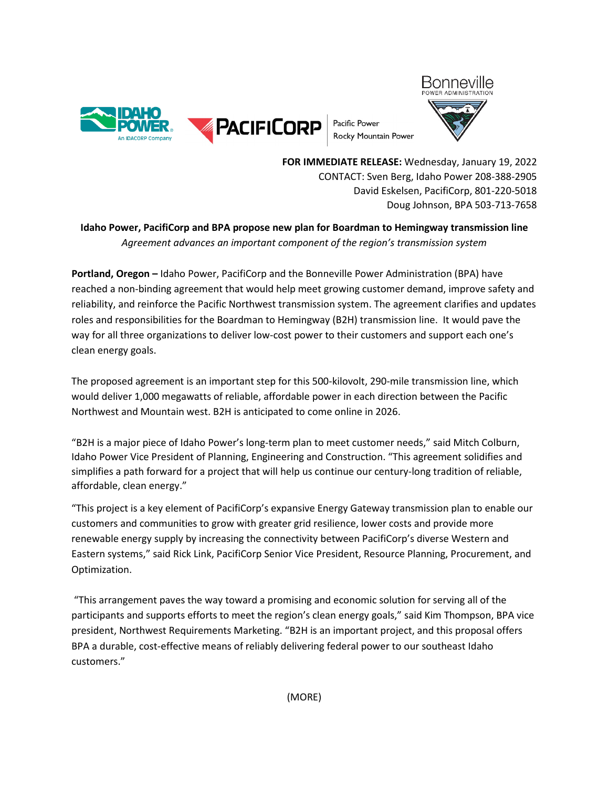

Pacific Power Rocky Mountain Power



**FOR IMMEDIATE RELEASE:** Wednesday, January 19, 2022 CONTACT: Sven Berg, Idaho Power 208-388-2905 David Eskelsen, PacifiCorp, 801-220-5018 Doug Johnson, BPA 503-713-7658

## **Idaho Power, PacifiCorp and BPA propose new plan for Boardman to Hemingway transmission line** *Agreement advances an important component of the region's transmission system*

**Portland, Oregon –** Idaho Power, PacifiCorp and the Bonneville Power Administration (BPA) have reached a non-binding agreement that would help meet growing customer demand, improve safety and reliability, and reinforce the Pacific Northwest transmission system. The agreement clarifies and updates roles and responsibilities for the Boardman to Hemingway (B2H) transmission line. It would pave the way for all three organizations to deliver low-cost power to their customers and support each one's clean energy goals.

The proposed agreement is an important step for this 500-kilovolt, 290-mile transmission line, which would deliver 1,000 megawatts of reliable, affordable power in each direction between the Pacific Northwest and Mountain west. B2H is anticipated to come online in 2026.

"B2H is a major piece of Idaho Power's long-term plan to meet customer needs," said Mitch Colburn, Idaho Power Vice President of Planning, Engineering and Construction. "This agreement solidifies and simplifies a path forward for a project that will help us continue our century-long tradition of reliable, affordable, clean energy."

"This project is a key element of PacifiCorp's expansive Energy Gateway transmission plan to enable our customers and communities to grow with greater grid resilience, lower costs and provide more renewable energy supply by increasing the connectivity between PacifiCorp's diverse Western and Eastern systems," said Rick Link, PacifiCorp Senior Vice President, Resource Planning, Procurement, and Optimization.

"This arrangement paves the way toward a promising and economic solution for serving all of the participants and supports efforts to meet the region's clean energy goals," said Kim Thompson, BPA vice president, Northwest Requirements Marketing. "B2H is an important project, and this proposal offers BPA a durable, cost-effective means of reliably delivering federal power to our southeast Idaho customers."

(MORE)